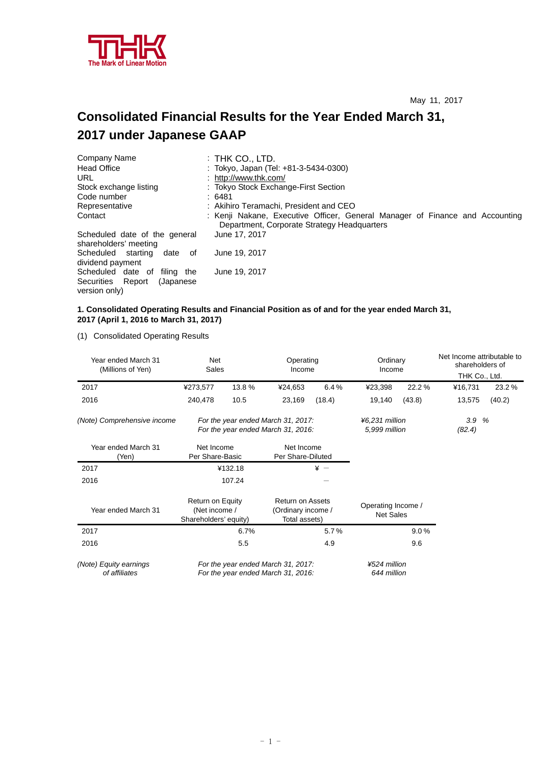

# **Consolidated Financial Results for the Year Ended March 31, 2017 under Japanese GAAP**

| Company Name                                           | $:$ Thk Co., LTD.                                                                                                           |
|--------------------------------------------------------|-----------------------------------------------------------------------------------------------------------------------------|
| <b>Head Office</b>                                     | : Tokyo, Japan (Tel: +81-3-5434-0300)                                                                                       |
| URL                                                    | : http://www.thk.com/                                                                                                       |
| Stock exchange listing                                 | : Tokyo Stock Exchange-First Section                                                                                        |
| Code number                                            | : 6481                                                                                                                      |
| Representative                                         | : Akihiro Teramachi, President and CEO                                                                                      |
| Contact                                                | : Kenji Nakane, Executive Officer, General Manager of Finance and Accounting<br>Department, Corporate Strategy Headquarters |
| Scheduled date of the general<br>shareholders' meeting | June 17, 2017                                                                                                               |
| Scheduled starting<br>date of<br>dividend payment      | June 19, 2017                                                                                                               |
| Scheduled date of filing the                           | June 19, 2017                                                                                                               |
| Securities Report<br>(Japanese)                        |                                                                                                                             |
| version only)                                          |                                                                                                                             |

#### **1. Consolidated Operating Results and Financial Position as of and for the year ended March 31, 2017 (April 1, 2016 to March 31, 2017)**

(1) Consolidated Operating Results

| Year ended March 31<br>(Millions of Yen) | Net<br>Sales                                                             |                                                                          | Operating<br>Income                                            |                 | Ordinary<br>Income              |        | Net Income attributable to<br>shareholders of<br>THK Co., Ltd. |        |
|------------------------------------------|--------------------------------------------------------------------------|--------------------------------------------------------------------------|----------------------------------------------------------------|-----------------|---------------------------------|--------|----------------------------------------------------------------|--------|
| 2017                                     | ¥273,577                                                                 | 13.8 %                                                                   | ¥24,653                                                        | 6.4%            | ¥23,398                         | 22.2%  | ¥16,731                                                        | 23.2%  |
| 2016                                     | 240,478                                                                  | 10.5                                                                     | 23,169                                                         | (18.4)          | 19,140                          | (43.8) | 13,575                                                         | (40.2) |
| (Note) Comprehensive income              |                                                                          | For the year ended March 31, 2017:<br>For the year ended March 31, 2016: |                                                                |                 |                                 |        | 3.9<br>(82.4)                                                  | %      |
| Year ended March 31<br>(Yen)             | Net Income<br>Per Share-Basic                                            |                                                                          | Net Income<br>Per Share-Diluted                                |                 |                                 |        |                                                                |        |
| 2017                                     |                                                                          | ¥132.18                                                                  |                                                                | $\frac{1}{2}$ - |                                 |        |                                                                |        |
| 2016                                     |                                                                          | 107.24                                                                   |                                                                |                 |                                 |        |                                                                |        |
| Year ended March 31                      | Return on Equity<br>(Net income /<br>Shareholders' equity)               |                                                                          | <b>Return on Assets</b><br>(Ordinary income /<br>Total assets) |                 | Operating Income /<br>Net Sales |        |                                                                |        |
| 2017                                     |                                                                          | 6.7%                                                                     |                                                                | 5.7%            |                                 | 9.0%   |                                                                |        |
| 2016                                     |                                                                          | 5.5                                                                      |                                                                | 4.9             |                                 | 9.6    |                                                                |        |
| (Note) Equity earnings<br>of affiliates  | For the year ended March 31, 2017:<br>For the year ended March 31, 2016: |                                                                          | ¥524 million<br>644 million                                    |                 |                                 |        |                                                                |        |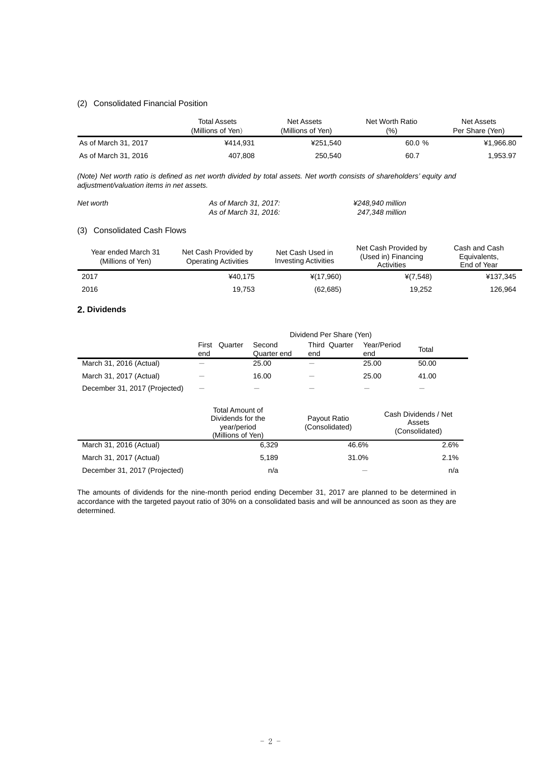# (2) Consolidated Financial Position

|                      | Total Assets<br>(Millions of Yen) | Net Assets<br>(Millions of Yen) | Net Worth Ratio<br>(%) | Net Assets<br>Per Share (Yen) |
|----------------------|-----------------------------------|---------------------------------|------------------------|-------------------------------|
| As of March 31, 2017 | ¥414.931                          | ¥251.540                        | 60.0 %                 | ¥1,966.80                     |
| As of March 31, 2016 | 407,808                           | 250,540                         | 60.7                   | 1,953.97                      |

*(Note) Net worth ratio is defined as net worth divided by total assets. Net worth consists of shareholders' equity and adjustment/valuation items in net assets.* 

| Net worth | As of March 31, 2017: | ¥248.940 million |
|-----------|-----------------------|------------------|
|           | As of March 31, 2016: | 247.348 million  |

# (3) Consolidated Cash Flows

| Year ended March 31<br>(Millions of Yen) | Net Cash Provided by<br><b>Operating Activities</b> | Net Cash Used in<br><b>Investing Activities</b> | Net Cash Provided by<br>(Used in) Financing<br><b>Activities</b> | Cash and Cash<br>Equivalents,<br>End of Year |  |
|------------------------------------------|-----------------------------------------------------|-------------------------------------------------|------------------------------------------------------------------|----------------------------------------------|--|
| 2017                                     | ¥40.175                                             | $*(17,960)$                                     | $*(7,548)$                                                       | ¥137,345                                     |  |
| 2016                                     | 19.753                                              | (62, 685)                                       | 19.252                                                           | 126.964                                      |  |

#### **2. Dividends**

|                               | Dividend Per Share (Yen) |                       |                             |                    |       |  |
|-------------------------------|--------------------------|-----------------------|-----------------------------|--------------------|-------|--|
|                               | Quarter<br>First<br>end  | Second<br>Quarter end | <b>Third Quarter</b><br>end | Year/Period<br>end | Total |  |
| March 31, 2016 (Actual)       |                          | 25.00                 |                             | 25.00              | 50.00 |  |
| March 31, 2017 (Actual)       |                          | 16.00                 |                             | 25.00              | 41.00 |  |
| December 31, 2017 (Projected) |                          |                       |                             |                    |       |  |

|                               | Total Amount of<br>Dividends for the<br>year/period<br>(Millions of Yen) | Payout Ratio<br>(Consolidated) | Cash Dividends / Net<br>Assets<br>(Consolidated) |
|-------------------------------|--------------------------------------------------------------------------|--------------------------------|--------------------------------------------------|
| March 31, 2016 (Actual)       | 6.329                                                                    | 46.6%                          | 2.6%                                             |
| March 31, 2017 (Actual)       | 5.189                                                                    | 31.0%                          | $2.1\%$                                          |
| December 31, 2017 (Projected) | n/a                                                                      |                                | n/a                                              |

The amounts of dividends for the nine-month period ending December 31, 2017 are planned to be determined in accordance with the targeted payout ratio of 30% on a consolidated basis and will be announced as soon as they are determined.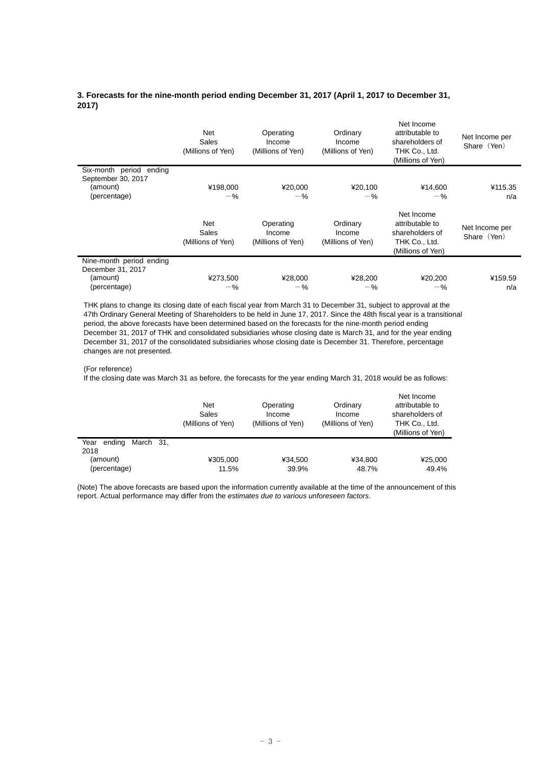# **3. Forecasts for the nine-month period ending December 31, 2017 (April 1, 2017 to December 31, 2017)**

|                                               | <b>Net</b><br>Sales<br>(Millions of Yen) | Operating<br>Income<br>(Millions of Yen) | Ordinary<br>Income<br>(Millions of Yen) | Net Income<br>attributable to<br>shareholders of<br>THK Co., Ltd.<br>(Millions of Yen) | Net Income per<br>Share (Yen) |
|-----------------------------------------------|------------------------------------------|------------------------------------------|-----------------------------------------|----------------------------------------------------------------------------------------|-------------------------------|
| Six-month period ending                       |                                          |                                          |                                         |                                                                                        |                               |
| September 30, 2017<br>(amount)                | ¥198,000                                 | ¥20,000                                  | ¥20,100                                 | ¥14,600                                                                                | ¥115.35                       |
| (percentage)                                  | $-$ %                                    | $-$ %                                    | $-$ %                                   | $-$ %                                                                                  | n/a                           |
|                                               | <b>Net</b><br>Sales<br>(Millions of Yen) | Operating<br>Income<br>(Millions of Yen) | Ordinary<br>Income<br>(Millions of Yen) | Net Income<br>attributable to<br>shareholders of<br>THK Co., Ltd.<br>(Millions of Yen) | Net Income per<br>Share (Yen) |
| Nine-month period ending<br>December 31, 2017 |                                          |                                          |                                         |                                                                                        |                               |
| (amount)                                      | ¥273,500                                 | ¥28,000                                  | ¥28,200                                 | ¥20,200                                                                                | ¥159.59                       |
| (percentage)                                  | $-$ %                                    | $-$ %                                    | $-$ %                                   | $-$ %                                                                                  | n/a                           |

THK plans to change its closing date of each fiscal year from March 31 to December 31, subject to approval at the 47th Ordinary General Meeting of Shareholders to be held in June 17, 2017. Since the 48th fiscal year is a transitional period, the above forecasts have been determined based on the forecasts for the nine-month period ending December 31, 2017 of THK and consolidated subsidiaries whose closing date is March 31, and for the year ending December 31, 2017 of the consolidated subsidiaries whose closing date is December 31. Therefore, percentage changes are not presented.

#### (For reference)

If the closing date was March 31 as before, the forecasts for the year ending March 31, 2018 would be as follows:

|                                                 | <b>Net</b><br>Sales<br>(Millions of Yen) | Operating<br>Income<br>(Millions of Yen) | Ordinary<br>Income<br>(Millions of Yen) | Net Income<br>attributable to<br>shareholders of<br>THK Co., Ltd.<br>(Millions of Yen) |
|-------------------------------------------------|------------------------------------------|------------------------------------------|-----------------------------------------|----------------------------------------------------------------------------------------|
| March 31.<br>Year<br>ending<br>2018<br>(amount) | ¥305.000                                 | ¥34.500                                  | ¥34.800                                 | ¥25,000                                                                                |
| (percentage)                                    | 11.5%                                    | 39.9%                                    | 48.7%                                   | 49.4%                                                                                  |

(Note) The above forecasts are based upon the information currently available at the time of the announcement of this report. Actual performance may differ from the *estimates due to various unforeseen factors.*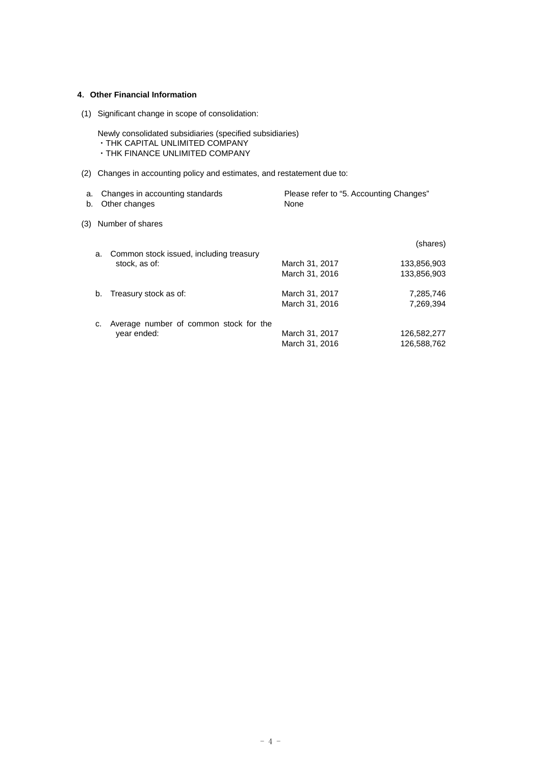# **4**.**Other Financial Information**

(1) Significant change in scope of consolidation:

Newly consolidated subsidiaries (specified subsidiaries) ・THK CAPITAL UNLIMITED COMPANY ・THK FINANCE UNLIMITED COMPANY

(2) Changes in accounting policy and estimates, and restatement due to:

| b.  |    | a. Changes in accounting standards<br>Other changes | Please refer to "5. Accounting Changes"<br>None |                            |
|-----|----|-----------------------------------------------------|-------------------------------------------------|----------------------------|
| (3) |    | Number of shares                                    |                                                 |                            |
|     | a. | Common stock issued, including treasury             |                                                 | (shares)                   |
|     |    | stock, as of:                                       | March 31, 2017<br>March 31, 2016                | 133,856,903<br>133,856,903 |
|     | b. | Treasury stock as of:                               | March 31, 2017                                  | 7,285,746                  |

c. Average number of common stock for the year ended: March 31, 2017 126,582,277 March 31, 2016 126,588,762

March 31, 2016 7,269,394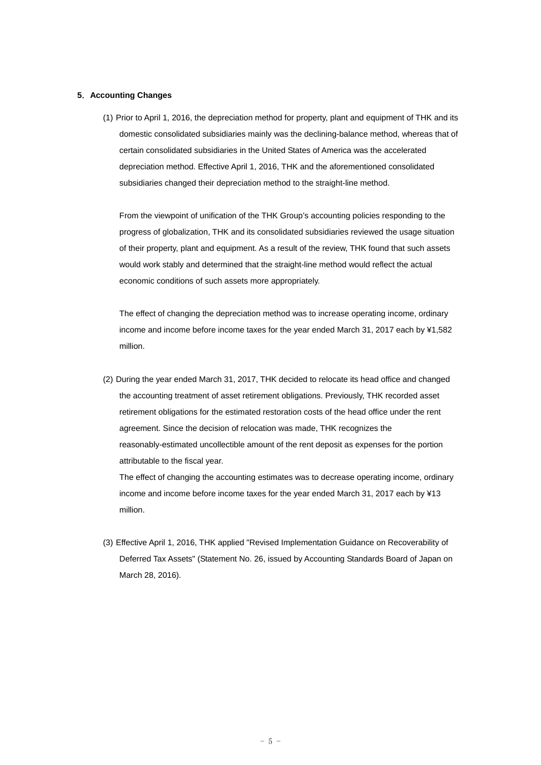### **5**.**Accounting Changes**

(1) Prior to April 1, 2016, the depreciation method for property, plant and equipment of THK and its domestic consolidated subsidiaries mainly was the declining-balance method, whereas that of certain consolidated subsidiaries in the United States of America was the accelerated depreciation method. Effective April 1, 2016, THK and the aforementioned consolidated subsidiaries changed their depreciation method to the straight-line method.

From the viewpoint of unification of the THK Group's accounting policies responding to the progress of globalization, THK and its consolidated subsidiaries reviewed the usage situation of their property, plant and equipment. As a result of the review, THK found that such assets would work stably and determined that the straight-line method would reflect the actual economic conditions of such assets more appropriately.

The effect of changing the depreciation method was to increase operating income, ordinary income and income before income taxes for the year ended March 31, 2017 each by ¥1,582 million.

(2) During the year ended March 31, 2017, THK decided to relocate its head office and changed the accounting treatment of asset retirement obligations. Previously, THK recorded asset retirement obligations for the estimated restoration costs of the head office under the rent agreement. Since the decision of relocation was made, THK recognizes the reasonably-estimated uncollectible amount of the rent deposit as expenses for the portion attributable to the fiscal year.

The effect of changing the accounting estimates was to decrease operating income, ordinary income and income before income taxes for the year ended March 31, 2017 each by ¥13 million.

(3) Effective April 1, 2016, THK applied "Revised Implementation Guidance on Recoverability of Deferred Tax Assets" (Statement No. 26, issued by Accounting Standards Board of Japan on March 28, 2016).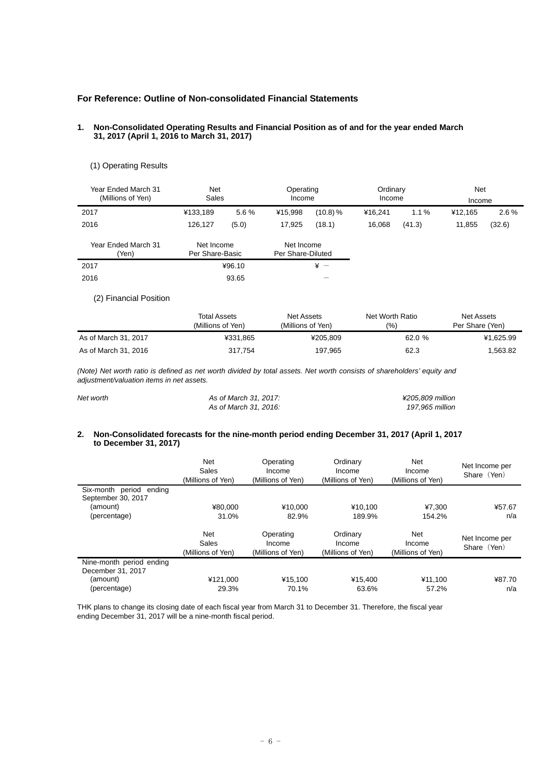# **For Reference: Outline of Non-consolidated Financial Statements**

#### **1. Non-Consolidated Operating Results and Financial Position as of and for the year ended March 31, 2017 (April 1, 2016 to March 31, 2017)**

| Year Ended March 31<br>(Millions of Yen) | <b>Net</b><br>Sales           |        | Operating<br>Income             |          | Ordinary<br>Income |         | Net<br>Income |         |
|------------------------------------------|-------------------------------|--------|---------------------------------|----------|--------------------|---------|---------------|---------|
| 2017                                     | ¥133,189                      | 5.6%   | ¥15.998                         | (10.8) % | ¥16.241            | $1.1\%$ | ¥12.165       | $2.6\%$ |
| 2016                                     | 126,127                       | (5.0)  | 17,925                          | (18.1)   | 16.068             | (41.3)  | 11,855        | (32.6)  |
| Year Ended March 31<br>(Yen)             | Net Income<br>Per Share-Basic |        | Net Income<br>Per Share-Diluted |          |                    |         |               |         |
| 2017                                     |                               | ¥96.10 |                                 | $* -$    |                    |         |               |         |
| 2016                                     |                               | 93.65  |                                 |          |                    |         |               |         |

## (1) Operating Results

(2) Financial Position

|                      | Total Assets<br>(Millions of Yen) | Net Assets<br>(Millions of Yen) | Net Worth Ratio<br>(9) | Net Assets<br>Per Share (Yen) |  |
|----------------------|-----------------------------------|---------------------------------|------------------------|-------------------------------|--|
| As of March 31, 2017 | ¥331.865                          | ¥205.809                        | 62.0%                  | ¥1.625.99                     |  |
| As of March 31, 2016 | 317.754                           | 197,965                         | 62.3                   | 1.563.82                      |  |

*(Note) Net worth ratio is defined as net worth divided by total assets. Net worth consists of shareholders' equity and adjustment/valuation items in net assets.* 

| Net worth | As of March 31, 2017: | ¥205.809 million |
|-----------|-----------------------|------------------|
|           | As of March 31, 2016: | 197.965 million  |

### **2. Non-Consolidated forecasts for the nine-month period ending December 31, 2017 (April 1, 2017 to December 31, 2017)**

|                                | Net<br>Sales<br>(Millions of Yen)        | Operating<br>Income<br>(Millions of Yen) | Ordinary<br>Income<br>(Millions of Yen) | Net<br>Income<br>(Millions of Yen) | Net Income per<br>Share (Yen) |
|--------------------------------|------------------------------------------|------------------------------------------|-----------------------------------------|------------------------------------|-------------------------------|
| Six-month period ending        |                                          |                                          |                                         |                                    |                               |
| September 30, 2017<br>(amount) | ¥80.000                                  | ¥10.000                                  | ¥10.100                                 | ¥7.300                             | ¥57.67                        |
| (percentage)                   | 31.0%                                    | 82.9%                                    | 189.9%                                  | 154.2%                             | n/a                           |
|                                | <b>Net</b><br>Sales<br>(Millions of Yen) | Operating<br>Income<br>(Millions of Yen) | Ordinary<br>Income<br>(Millions of Yen) | Net<br>Income<br>(Millions of Yen) | Net Income per<br>Share (Yen) |
| Nine-month period ending       |                                          |                                          |                                         |                                    |                               |
| December 31, 2017              |                                          |                                          |                                         |                                    |                               |
| (amount)                       | ¥121.000                                 | ¥15,100                                  | ¥15.400                                 | ¥11,100                            | ¥87.70                        |
| (percentage)                   | 29.3%                                    | 70.1%                                    | 63.6%                                   | 57.2%                              | n/a                           |

THK plans to change its closing date of each fiscal year from March 31 to December 31. Therefore, the fiscal year ending December 31, 2017 will be a nine-month fiscal period.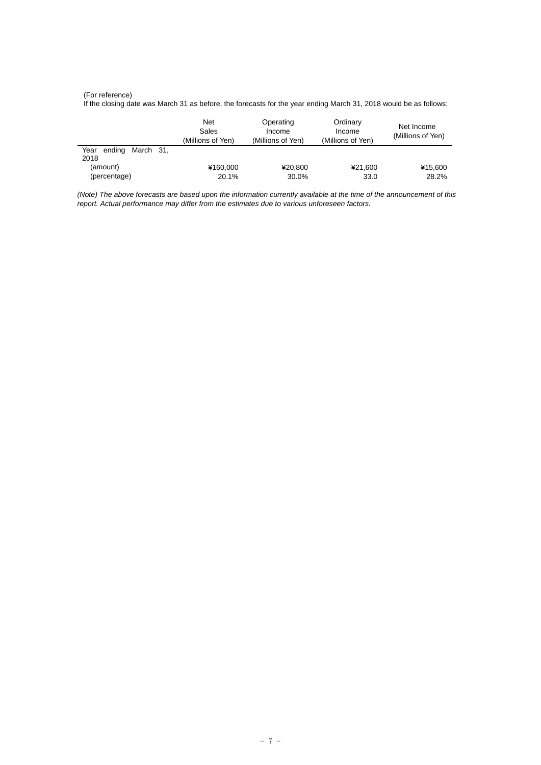#### (For reference)

If the closing date was March 31 as before, the forecasts for the year ending March 31, 2018 would be as follows:

|                                     | <b>Net</b><br>Sales<br>(Millions of Yen) | Operating<br>Income<br>(Millions of Yen) | Ordinary<br>Income<br>(Millions of Yen) | Net Income<br>(Millions of Yen) |
|-------------------------------------|------------------------------------------|------------------------------------------|-----------------------------------------|---------------------------------|
| March 31.<br>Year<br>ending<br>2018 |                                          |                                          |                                         |                                 |
| (amount)                            | ¥160.000                                 | ¥20.800                                  | ¥21.600                                 | ¥15,600                         |
| (percentage)                        | 20.1%                                    | 30.0%                                    | 33.0                                    | 28.2%                           |

*(Note) The above forecasts are based upon the information currently available at the time of the announcement of this report. Actual performance may differ from the estimates due to various unforeseen factors.*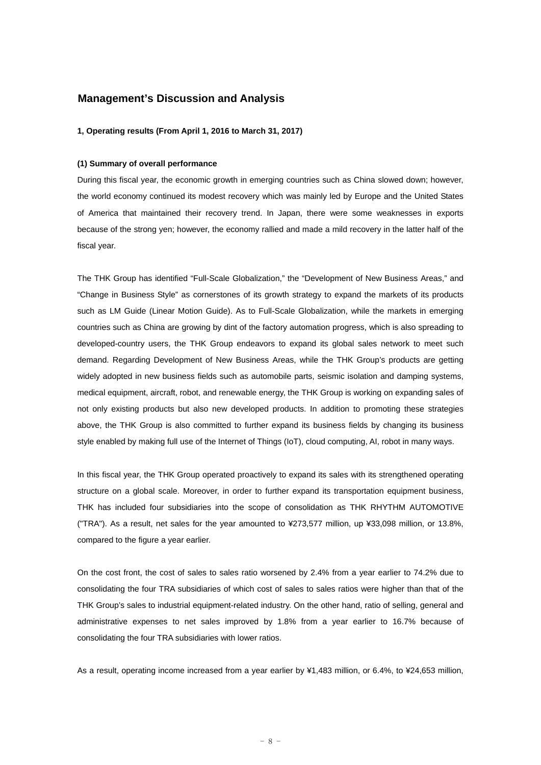# **Management's Discussion and Analysis**

#### **1, Operating results (From April 1, 2016 to March 31, 2017)**

#### **(1) Summary of overall performance**

During this fiscal year, the economic growth in emerging countries such as China slowed down; however, the world economy continued its modest recovery which was mainly led by Europe and the United States of America that maintained their recovery trend. In Japan, there were some weaknesses in exports because of the strong yen; however, the economy rallied and made a mild recovery in the latter half of the fiscal year.

The THK Group has identified "Full-Scale Globalization," the "Development of New Business Areas," and "Change in Business Style" as cornerstones of its growth strategy to expand the markets of its products such as LM Guide (Linear Motion Guide). As to Full-Scale Globalization, while the markets in emerging countries such as China are growing by dint of the factory automation progress, which is also spreading to developed-country users, the THK Group endeavors to expand its global sales network to meet such demand. Regarding Development of New Business Areas, while the THK Group's products are getting widely adopted in new business fields such as automobile parts, seismic isolation and damping systems, medical equipment, aircraft, robot, and renewable energy, the THK Group is working on expanding sales of not only existing products but also new developed products. In addition to promoting these strategies above, the THK Group is also committed to further expand its business fields by changing its business style enabled by making full use of the Internet of Things (IoT), cloud computing, AI, robot in many ways.

In this fiscal year, the THK Group operated proactively to expand its sales with its strengthened operating structure on a global scale. Moreover, in order to further expand its transportation equipment business, THK has included four subsidiaries into the scope of consolidation as THK RHYTHM AUTOMOTIVE ("TRA"). As a result, net sales for the year amounted to ¥273,577 million, up ¥33,098 million, or 13.8%, compared to the figure a year earlier.

On the cost front, the cost of sales to sales ratio worsened by 2.4% from a year earlier to 74.2% due to consolidating the four TRA subsidiaries of which cost of sales to sales ratios were higher than that of the THK Group's sales to industrial equipment-related industry. On the other hand, ratio of selling, general and administrative expenses to net sales improved by 1.8% from a year earlier to 16.7% because of consolidating the four TRA subsidiaries with lower ratios.

As a result, operating income increased from a year earlier by ¥1,483 million, or 6.4%, to ¥24,653 million,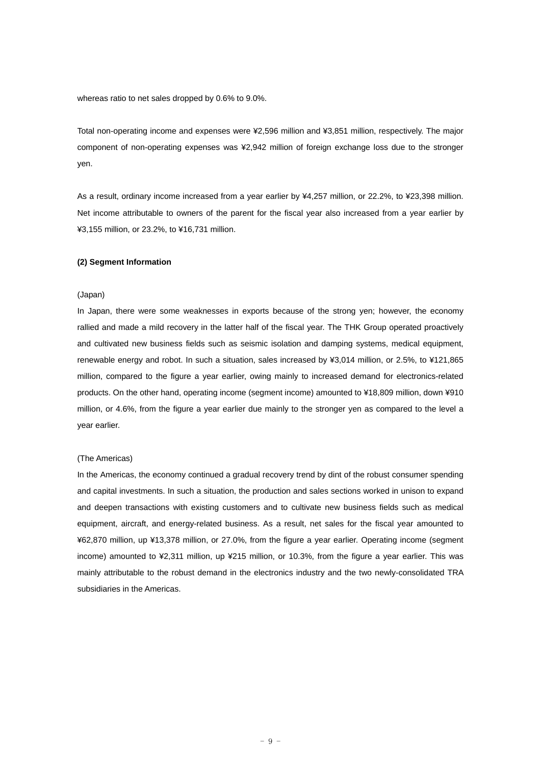whereas ratio to net sales dropped by 0.6% to 9.0%.

Total non-operating income and expenses were ¥2,596 million and ¥3,851 million, respectively. The major component of non-operating expenses was ¥2,942 million of foreign exchange loss due to the stronger yen.

As a result, ordinary income increased from a year earlier by ¥4,257 million, or 22.2%, to ¥23,398 million. Net income attributable to owners of the parent for the fiscal year also increased from a year earlier by ¥3,155 million, or 23.2%, to ¥16,731 million.

#### **(2) Segment Information**

#### (Japan)

In Japan, there were some weaknesses in exports because of the strong yen; however, the economy rallied and made a mild recovery in the latter half of the fiscal year. The THK Group operated proactively and cultivated new business fields such as seismic isolation and damping systems, medical equipment, renewable energy and robot. In such a situation, sales increased by ¥3,014 million, or 2.5%, to ¥121,865 million, compared to the figure a year earlier, owing mainly to increased demand for electronics-related products. On the other hand, operating income (segment income) amounted to ¥18,809 million, down ¥910 million, or 4.6%, from the figure a year earlier due mainly to the stronger yen as compared to the level a year earlier.

#### (The Americas)

In the Americas, the economy continued a gradual recovery trend by dint of the robust consumer spending and capital investments. In such a situation, the production and sales sections worked in unison to expand and deepen transactions with existing customers and to cultivate new business fields such as medical equipment, aircraft, and energy-related business. As a result, net sales for the fiscal year amounted to ¥62,870 million, up ¥13,378 million, or 27.0%, from the figure a year earlier. Operating income (segment income) amounted to ¥2,311 million, up ¥215 million, or 10.3%, from the figure a year earlier. This was mainly attributable to the robust demand in the electronics industry and the two newly-consolidated TRA subsidiaries in the Americas.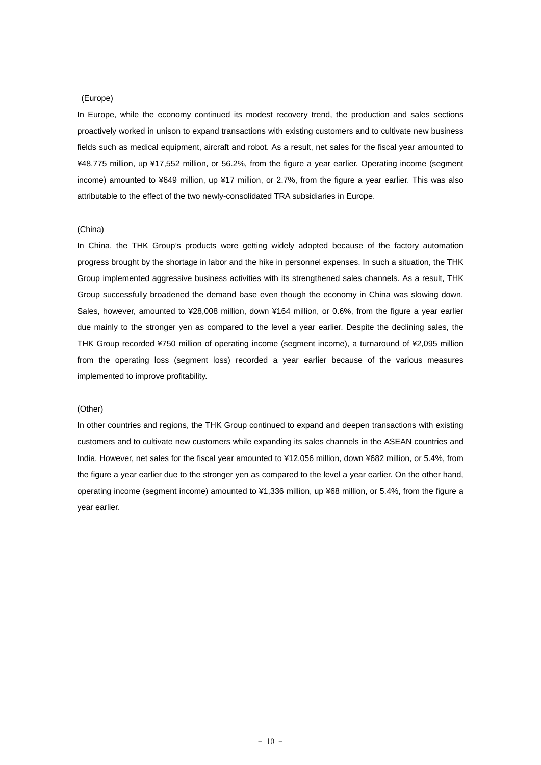#### (Europe)

In Europe, while the economy continued its modest recovery trend, the production and sales sections proactively worked in unison to expand transactions with existing customers and to cultivate new business fields such as medical equipment, aircraft and robot. As a result, net sales for the fiscal year amounted to ¥48,775 million, up ¥17,552 million, or 56.2%, from the figure a year earlier. Operating income (segment income) amounted to ¥649 million, up ¥17 million, or 2.7%, from the figure a year earlier. This was also attributable to the effect of the two newly-consolidated TRA subsidiaries in Europe.

#### (China)

In China, the THK Group's products were getting widely adopted because of the factory automation progress brought by the shortage in labor and the hike in personnel expenses. In such a situation, the THK Group implemented aggressive business activities with its strengthened sales channels. As a result, THK Group successfully broadened the demand base even though the economy in China was slowing down. Sales, however, amounted to ¥28,008 million, down ¥164 million, or 0.6%, from the figure a year earlier due mainly to the stronger yen as compared to the level a year earlier. Despite the declining sales, the THK Group recorded ¥750 million of operating income (segment income), a turnaround of ¥2,095 million from the operating loss (segment loss) recorded a year earlier because of the various measures implemented to improve profitability.

#### (Other)

In other countries and regions, the THK Group continued to expand and deepen transactions with existing customers and to cultivate new customers while expanding its sales channels in the ASEAN countries and India. However, net sales for the fiscal year amounted to ¥12,056 million, down ¥682 million, or 5.4%, from the figure a year earlier due to the stronger yen as compared to the level a year earlier. On the other hand, operating income (segment income) amounted to ¥1,336 million, up ¥68 million, or 5.4%, from the figure a year earlier.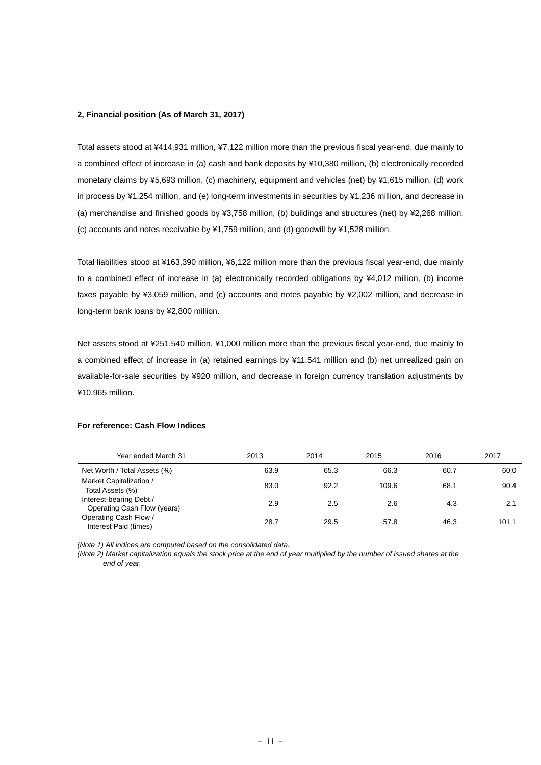### **2, Financial position (As of March 31, 2017)**

Total assets stood at ¥414,931 million, ¥7,122 million more than the previous fiscal year-end, due mainly to a combined effect of increase in (a) cash and bank deposits by ¥10,380 million, (b) electronically recorded monetary claims by ¥5,693 million, (c) machinery, equipment and vehicles (net) by ¥1,615 million, (d) work in process by ¥1,254 million, and (e) long-term investments in securities by ¥1,236 million, and decrease in (a) merchandise and finished goods by ¥3,758 million, (b) buildings and structures (net) by ¥2,268 million, (c) accounts and notes receivable by ¥1,759 million, and (d) goodwill by ¥1,528 million.

Total liabilities stood at ¥163,390 million, ¥6,122 million more than the previous fiscal year-end, due mainly to a combined effect of increase in (a) electronically recorded obligations by ¥4,012 million, (b) income taxes payable by ¥3,059 million, and (c) accounts and notes payable by ¥2,002 million, and decrease in long-term bank loans by ¥2,800 million.

Net assets stood at ¥251,540 million, ¥1,000 million more than the previous fiscal year-end, due mainly to a combined effect of increase in (a) retained earnings by ¥11,541 million and (b) net unrealized gain on available-for-sale securities by ¥920 million, and decrease in foreign currency translation adjustments by ¥10,965 million.

| Year ended March 31                                    | 2013 | 2014 | 2015  | 2016 | 2017  |
|--------------------------------------------------------|------|------|-------|------|-------|
| Net Worth / Total Assets (%)                           | 63.9 | 65.3 | 66.3  | 60.7 | 60.0  |
| Market Capitalization /<br>Total Assets (%)            | 83.0 | 92.2 | 109.6 | 68.1 | 90.4  |
| Interest-bearing Debt /<br>Operating Cash Flow (years) | 2.9  | 2.5  | 2.6   | 4.3  | 2.1   |
| Operating Cash Flow /<br>Interest Paid (times)         | 28.7 | 29.5 | 57.8  | 46.3 | 101.1 |

#### **For reference: Cash Flow Indices**

*(Note 1) All indices are computed based on the consolidated data.* 

*(Note 2) Market capitalization equals the stock price at the end of year multiplied by the number of issued shares at the end of year.*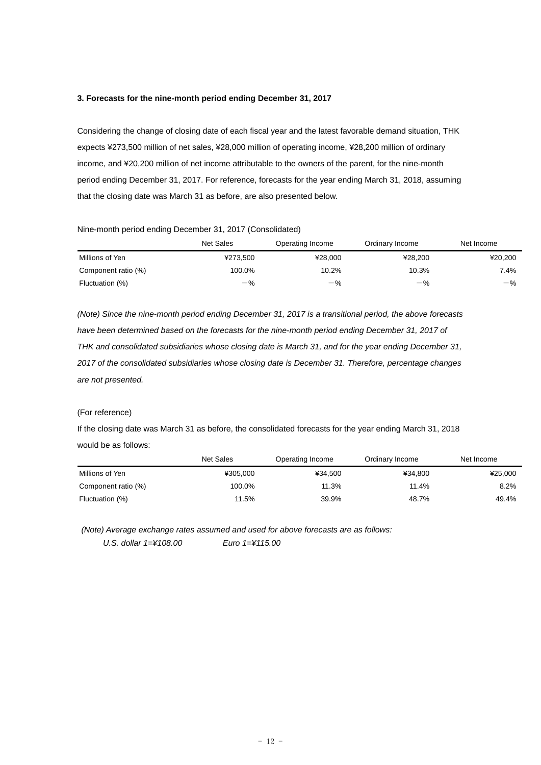#### **3. Forecasts for the nine-month period ending December 31, 2017**

Considering the change of closing date of each fiscal year and the latest favorable demand situation, THK expects ¥273,500 million of net sales, ¥28,000 million of operating income, ¥28,200 million of ordinary income, and ¥20,200 million of net income attributable to the owners of the parent, for the nine-month period ending December 31, 2017. For reference, forecasts for the year ending March 31, 2018, assuming that the closing date was March 31 as before, are also presented below.

#### Nine-month period ending December 31, 2017 (Consolidated)

|                     | <b>Net Sales</b> | Operating Income | Ordinary Income | Net Income |
|---------------------|------------------|------------------|-----------------|------------|
| Millions of Yen     | ¥273.500         | ¥28.000          | ¥28.200         | ¥20,200    |
| Component ratio (%) | 100.0%           | 10.2%            | 10.3%           | 7.4%       |
| Fluctuation (%)     | $-$ %            | $-$ %            | $-$ %           | $-$ %      |

*(Note) Since the nine-month period ending December 31, 2017 is a transitional period, the above forecasts*  have been determined based on the forecasts for the nine-month period ending December 31, 2017 of *THK and consolidated subsidiaries whose closing date is March 31, and for the year ending December 31, 2017 of the consolidated subsidiaries whose closing date is December 31. Therefore, percentage changes are not presented.* 

# (For reference)

If the closing date was March 31 as before, the consolidated forecasts for the year ending March 31, 2018 would be as follows:

|                     | Net Sales | Operating Income | Ordinary Income | Net Income |
|---------------------|-----------|------------------|-----------------|------------|
| Millions of Yen     | ¥305.000  | ¥34.500          | ¥34.800         | ¥25,000    |
| Component ratio (%) | 100.0%    | 11.3%            | 11.4%           | 8.2%       |
| Fluctuation (%)     | 11.5%     | 39.9%            | 48.7%           | 49.4%      |

 *(Note) Average exchange rates assumed and used for above forecasts are as follows: U.S. dollar 1=¥108.00 Euro 1=¥115.00*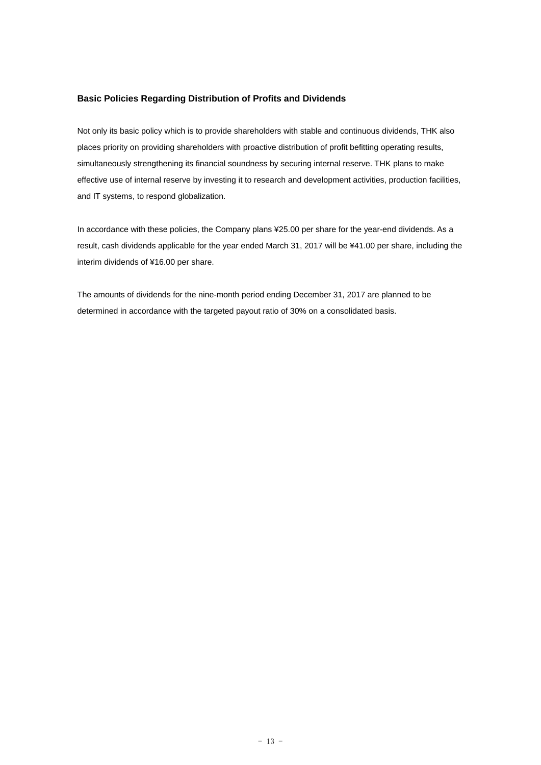# **Basic Policies Regarding Distribution of Profits and Dividends**

Not only its basic policy which is to provide shareholders with stable and continuous dividends, THK also places priority on providing shareholders with proactive distribution of profit befitting operating results, simultaneously strengthening its financial soundness by securing internal reserve. THK plans to make effective use of internal reserve by investing it to research and development activities, production facilities, and IT systems, to respond globalization.

In accordance with these policies, the Company plans ¥25.00 per share for the year-end dividends. As a result, cash dividends applicable for the year ended March 31, 2017 will be ¥41.00 per share, including the interim dividends of ¥16.00 per share.

The amounts of dividends for the nine-month period ending December 31, 2017 are planned to be determined in accordance with the targeted payout ratio of 30% on a consolidated basis.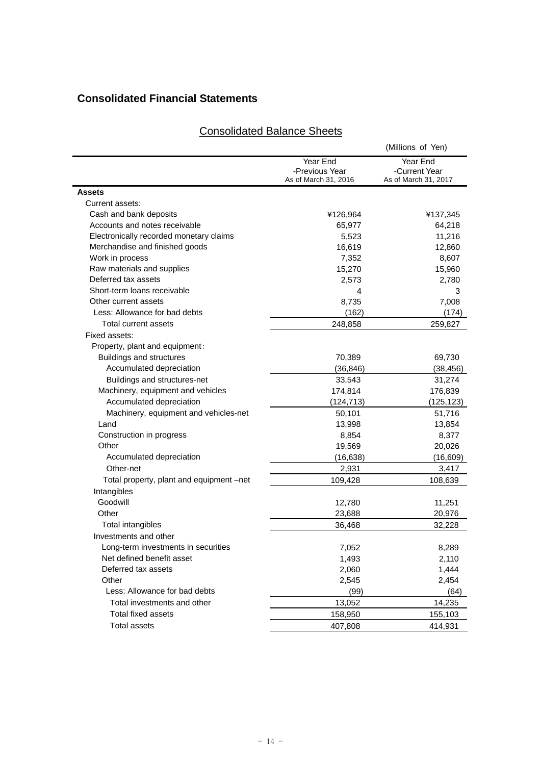# **Consolidated Financial Statements**

# (Millions of Yen) Year End -Previous Year<br>As of March 31, 2016 Year End -Current Year As of March 31, 2017 **Assets**  Current assets: Cash and bank deposits ¥126,964 ¥137,345 Accounts and notes receivable 65,977 64,218 Electronically recorded monetary claims 6,523 11,216 Merchandise and finished goods 16,619 12,860 Work in process 8.607 Raw materials and supplies 15,270 15,960 Deferred tax assets 2,573 2,780 Short-term loans receivable 4 3 Other current assets **8.735** 8.735 7.008 Less: Allowance for bad debts (162) (174) Total current assets 248,858 259,827 Fixed assets: Property, plant and equipment: Buildings and structures 69,730 69,730 69,730 Accumulated depreciation (36,846) (38,456) (38,456) Buildings and structures-net 33,543 31,274 Machinery, equipment and vehicles 174,814 176,839 Accumulated depreciation (124,713) (125,123) Machinery, equipment and vehicles-net 50,101 51,716 Land 13,998 13,854 Construction in progress 8,854 8,377 Other 20,026 20,026 20,027 20,027 20,028 20,028 20,028 20,028 20,028 20,028 20,028 Accumulated depreciation (16,638) (16,609) Other-net 2,931 3,417 Total property, plant and equipment –net 109,428 108,639 Intangibles Goodwill 12,780 11,251 Other 23,688 20,976 Total intangibles 36,468 32,228 Investments and other Long-term investments in securities 1990 8,289 8,289 Net defined benefit asset 1,493 2,110 Deferred tax assets and the contract of the contract of the 2,060 contract of the 1,444 Other 2,454 2,545 2,454 Less: Allowance for bad debts (99) (64) Total investments and other 13,052 14,235 Total fixed assets 158,950 155,103 Total assets 407,808 414,931

# Consolidated Balance Sheets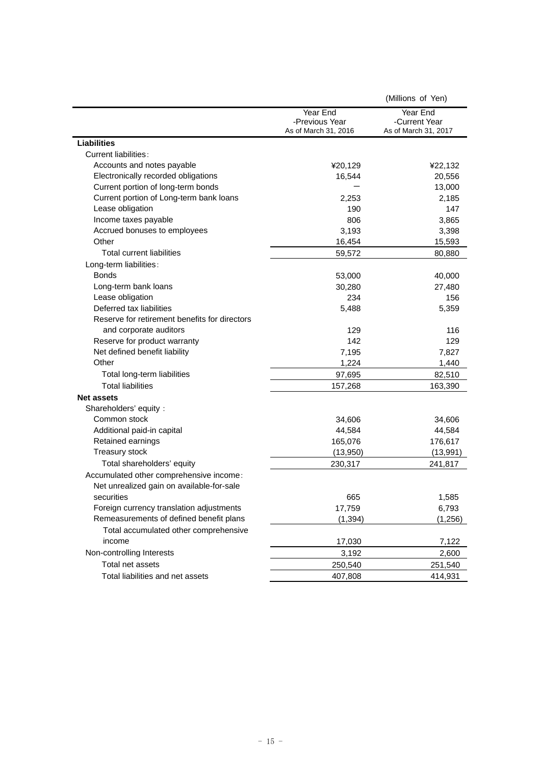|                                               |                      | (Millions of Yen)    |
|-----------------------------------------------|----------------------|----------------------|
|                                               | Year End             | Year End             |
|                                               | -Previous Year       | -Current Year        |
|                                               | As of March 31, 2016 | As of March 31, 2017 |
| <b>Liabilities</b>                            |                      |                      |
| <b>Current liabilities:</b>                   |                      |                      |
| Accounts and notes payable                    | ¥20,129              | ¥22,132              |
| Electronically recorded obligations           | 16,544               | 20,556               |
| Current portion of long-term bonds            |                      | 13,000               |
| Current portion of Long-term bank loans       | 2,253                | 2,185                |
| Lease obligation                              | 190                  | 147                  |
| Income taxes payable                          | 806                  | 3,865                |
| Accrued bonuses to employees                  | 3,193                | 3,398                |
| Other                                         | 16,454               | 15,593               |
| Total current liabilities                     | 59,572               | 80,880               |
| Long-term liabilities:                        |                      |                      |
| <b>Bonds</b>                                  | 53,000               | 40,000               |
| Long-term bank loans                          | 30,280               | 27,480               |
| Lease obligation                              | 234                  | 156                  |
| Deferred tax liabilities                      | 5,488                | 5,359                |
| Reserve for retirement benefits for directors |                      |                      |
| and corporate auditors                        | 129                  | 116                  |
| Reserve for product warranty                  | 142                  | 129                  |
| Net defined benefit liability                 | 7,195                | 7,827                |
| Other                                         | 1,224                | 1,440                |
| Total long-term liabilities                   | 97,695               | 82,510               |
| <b>Total liabilities</b>                      | 157,268              | 163,390              |
| <b>Net assets</b>                             |                      |                      |
| Shareholders' equity:                         |                      |                      |
| Common stock                                  | 34,606               | 34,606               |
| Additional paid-in capital                    | 44,584               | 44,584               |
| Retained earnings                             | 165,076              | 176,617              |
| Treasury stock                                | (13,950)             | (13, 991)            |
| Total shareholders' equity                    | 230,317              | 241,817              |
| Accumulated other comprehensive income:       |                      |                      |
| Net unrealized gain on available-for-sale     |                      |                      |
| securities                                    | 665                  | 1,585                |
| Foreign currency translation adjustments      | 17,759               | 6,793                |
| Remeasurements of defined benefit plans       | (1, 394)             | (1, 256)             |
| Total accumulated other comprehensive         |                      |                      |
| income                                        | 17,030               | 7,122                |
| Non-controlling Interests                     | 3,192                | 2,600                |
| Total net assets                              | 250,540              | 251,540              |
| Total liabilities and net assets              | 407,808              | 414,931              |
|                                               |                      |                      |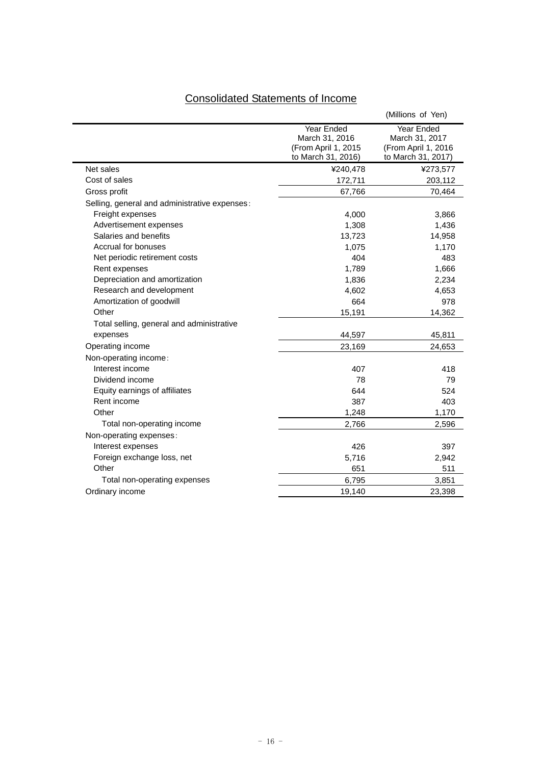| <b>Consolidated Statements of Income</b> |  |  |
|------------------------------------------|--|--|
|                                          |  |  |

| Net sales<br>Cost of sales<br>Gross profit<br>Selling, general and administrative expenses:<br>Freight expenses<br>Advertisement expenses<br>Salaries and benefits<br>Accrual for bonuses<br>Net periodic retirement costs<br>Rent expenses | Year Ended<br>March 31, 2016<br>(From April 1, 2015<br>to March 31, 2016)<br>¥240,478 | Year Ended<br>March 31, 2017<br>(From April 1, 2016<br>to March 31, 2017) |
|---------------------------------------------------------------------------------------------------------------------------------------------------------------------------------------------------------------------------------------------|---------------------------------------------------------------------------------------|---------------------------------------------------------------------------|
|                                                                                                                                                                                                                                             |                                                                                       |                                                                           |
|                                                                                                                                                                                                                                             |                                                                                       | ¥273,577                                                                  |
|                                                                                                                                                                                                                                             | 172,711                                                                               | 203,112                                                                   |
|                                                                                                                                                                                                                                             | 67,766                                                                                | 70,464                                                                    |
|                                                                                                                                                                                                                                             |                                                                                       |                                                                           |
|                                                                                                                                                                                                                                             | 4,000                                                                                 | 3,866                                                                     |
|                                                                                                                                                                                                                                             | 1,308                                                                                 | 1,436                                                                     |
|                                                                                                                                                                                                                                             | 13,723                                                                                | 14,958                                                                    |
|                                                                                                                                                                                                                                             | 1,075                                                                                 | 1,170                                                                     |
|                                                                                                                                                                                                                                             | 404                                                                                   | 483                                                                       |
|                                                                                                                                                                                                                                             | 1,789                                                                                 | 1,666                                                                     |
| Depreciation and amortization                                                                                                                                                                                                               | 1,836                                                                                 | 2,234                                                                     |
| Research and development                                                                                                                                                                                                                    | 4,602                                                                                 | 4,653                                                                     |
| Amortization of goodwill                                                                                                                                                                                                                    | 664                                                                                   | 978                                                                       |
| Other                                                                                                                                                                                                                                       | 15,191                                                                                | 14,362                                                                    |
| Total selling, general and administrative                                                                                                                                                                                                   |                                                                                       |                                                                           |
| expenses                                                                                                                                                                                                                                    | 44,597                                                                                | 45,811                                                                    |
| Operating income                                                                                                                                                                                                                            | 23,169                                                                                | 24,653                                                                    |
| Non-operating income:                                                                                                                                                                                                                       |                                                                                       |                                                                           |
| Interest income                                                                                                                                                                                                                             | 407                                                                                   | 418                                                                       |
| Dividend income                                                                                                                                                                                                                             | 78                                                                                    | 79                                                                        |
| Equity earnings of affiliates                                                                                                                                                                                                               | 644                                                                                   | 524                                                                       |
| Rent income                                                                                                                                                                                                                                 | 387                                                                                   | 403                                                                       |
| Other                                                                                                                                                                                                                                       | 1,248                                                                                 | 1,170                                                                     |
| Total non-operating income                                                                                                                                                                                                                  | 2,766                                                                                 | 2,596                                                                     |
| Non-operating expenses:                                                                                                                                                                                                                     |                                                                                       |                                                                           |
| Interest expenses                                                                                                                                                                                                                           | 426                                                                                   | 397                                                                       |
| Foreign exchange loss, net                                                                                                                                                                                                                  | 5,716                                                                                 | 2,942                                                                     |
| Other                                                                                                                                                                                                                                       |                                                                                       |                                                                           |
| Total non-operating expenses                                                                                                                                                                                                                | 651                                                                                   | 511                                                                       |
| Ordinary income                                                                                                                                                                                                                             | 6,795                                                                                 | 3,851                                                                     |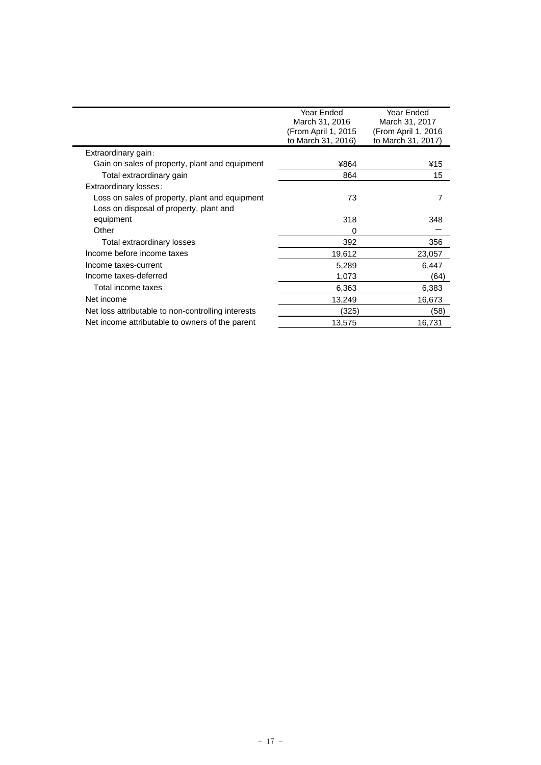|                                                    | Year Ended<br>March 31, 2016<br>(From April 1, 2015<br>to March 31, 2016) | Year Ended<br>March 31, 2017<br>(From April 1, 2016)<br>to March 31, 2017) |
|----------------------------------------------------|---------------------------------------------------------------------------|----------------------------------------------------------------------------|
| Extraordinary gain:                                |                                                                           |                                                                            |
| Gain on sales of property, plant and equipment     | ¥864                                                                      | ¥15                                                                        |
| Total extraordinary gain                           | 864                                                                       | 15                                                                         |
| Extraordinary losses:                              |                                                                           |                                                                            |
| Loss on sales of property, plant and equipment     | 73                                                                        |                                                                            |
| Loss on disposal of property, plant and            |                                                                           |                                                                            |
| equipment                                          | 318                                                                       | 348                                                                        |
| Other                                              | 0                                                                         |                                                                            |
| Total extraordinary losses                         | 392                                                                       | 356                                                                        |
| Income before income taxes                         | 19,612                                                                    | 23,057                                                                     |
| Income taxes-current                               | 5,289                                                                     | 6,447                                                                      |
| Income taxes-deferred                              | 1,073                                                                     | (64)                                                                       |
| Total income taxes                                 | 6,363                                                                     | 6,383                                                                      |
| Net income                                         | 13,249                                                                    | 16,673                                                                     |
| Net loss attributable to non-controlling interests | (325)                                                                     | (58)                                                                       |
| Net income attributable to owners of the parent    | 13,575                                                                    | 16,731                                                                     |
|                                                    |                                                                           |                                                                            |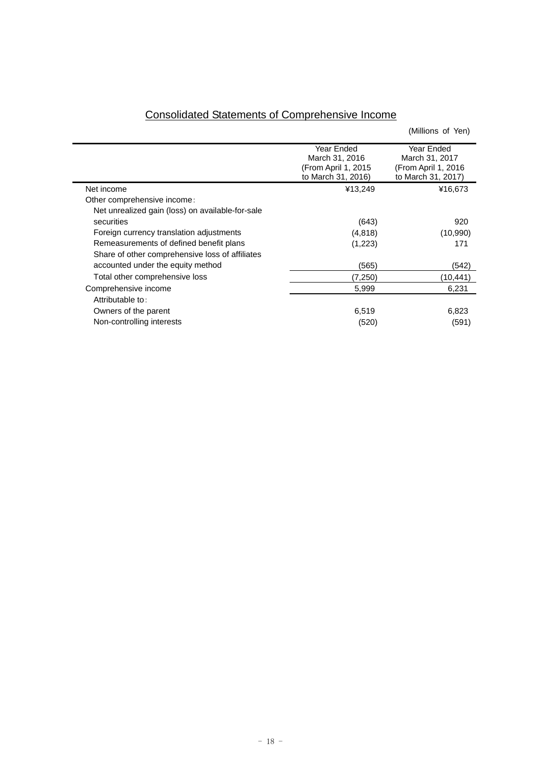| <b>Consolidated Statements of Comprehensive Income</b> |  |  |  |  |  |
|--------------------------------------------------------|--|--|--|--|--|
|--------------------------------------------------------|--|--|--|--|--|

|                                                  |                      | (Millions of Yen)    |
|--------------------------------------------------|----------------------|----------------------|
|                                                  | Year Ended           | Year Ended           |
|                                                  | March 31, 2016       | March 31, 2017       |
|                                                  | (From April 1, 2015) | (From April 1, 2016) |
|                                                  | to March 31, 2016)   | to March 31, 2017)   |
| Net income                                       | ¥13,249              | ¥16,673              |
| Other comprehensive income:                      |                      |                      |
| Net unrealized gain (loss) on available-for-sale |                      |                      |
| securities                                       | (643)                | 920                  |
| Foreign currency translation adjustments         | (4,818)              | (10, 990)            |
| Remeasurements of defined benefit plans          | (1,223)              | 171                  |
| Share of other comprehensive loss of affiliates  |                      |                      |
| accounted under the equity method                | (565)                | (542)                |
| Total other comprehensive loss                   | (7,250)              | (10,441)             |
| Comprehensive income                             | 5,999                | 6,231                |
| Attributable to:                                 |                      |                      |
| Owners of the parent                             | 6,519                | 6,823                |
| Non-controlling interests                        | (520)                | (591)                |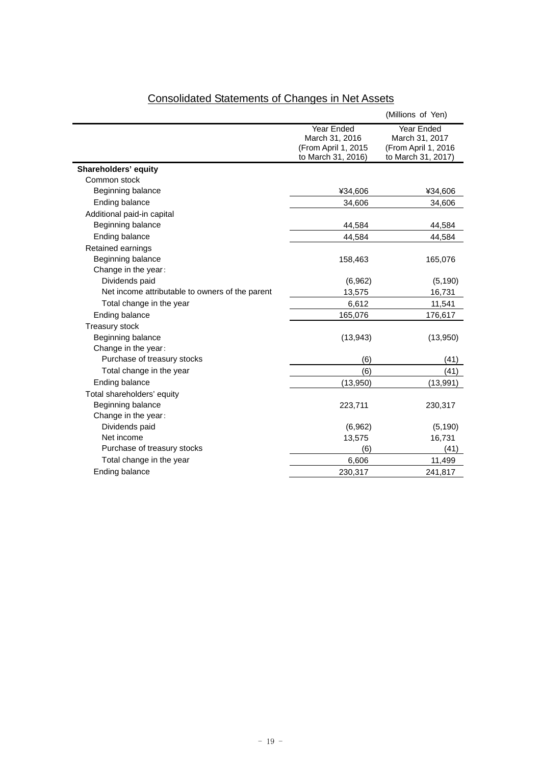|                                                 |                                           | (Millions of Yen)                         |
|-------------------------------------------------|-------------------------------------------|-------------------------------------------|
|                                                 | Year Ended                                | Year Ended                                |
|                                                 | March 31, 2016                            | March 31, 2017                            |
|                                                 | (From April 1, 2015<br>to March 31, 2016) | (From April 1, 2016<br>to March 31, 2017) |
| Shareholders' equity                            |                                           |                                           |
| Common stock                                    |                                           |                                           |
| Beginning balance                               | ¥34,606                                   | ¥34,606                                   |
| Ending balance                                  | 34,606                                    | 34,606                                    |
| Additional paid-in capital                      |                                           |                                           |
| Beginning balance                               | 44,584                                    | 44,584                                    |
| Ending balance                                  | 44,584                                    | 44,584                                    |
| Retained earnings                               |                                           |                                           |
| Beginning balance                               | 158,463                                   | 165,076                                   |
| Change in the year:                             |                                           |                                           |
| Dividends paid                                  | (6,962)                                   | (5, 190)                                  |
| Net income attributable to owners of the parent | 13,575                                    | 16,731                                    |
| Total change in the year                        | 6,612                                     | 11,541                                    |
| Ending balance                                  | 165,076                                   | 176,617                                   |
| Treasury stock                                  |                                           |                                           |
| Beginning balance                               | (13, 943)                                 | (13,950)                                  |
| Change in the year:                             |                                           |                                           |
| Purchase of treasury stocks                     | (6)                                       | (41)                                      |
| Total change in the year                        | (6)                                       | (41)                                      |
| Ending balance                                  | (13,950)                                  | (13,991)                                  |
| Total shareholders' equity                      |                                           |                                           |
| Beginning balance                               | 223,711                                   | 230,317                                   |
| Change in the year:                             |                                           |                                           |
| Dividends paid                                  | (6,962)                                   | (5, 190)                                  |
| Net income                                      | 13,575                                    | 16,731                                    |
| Purchase of treasury stocks                     | (6)                                       | (41)                                      |
| Total change in the year                        | 6,606                                     | 11,499                                    |
| Ending balance                                  | 230,317                                   | 241,817                                   |

# Consolidated Statements of Changes in Net Assets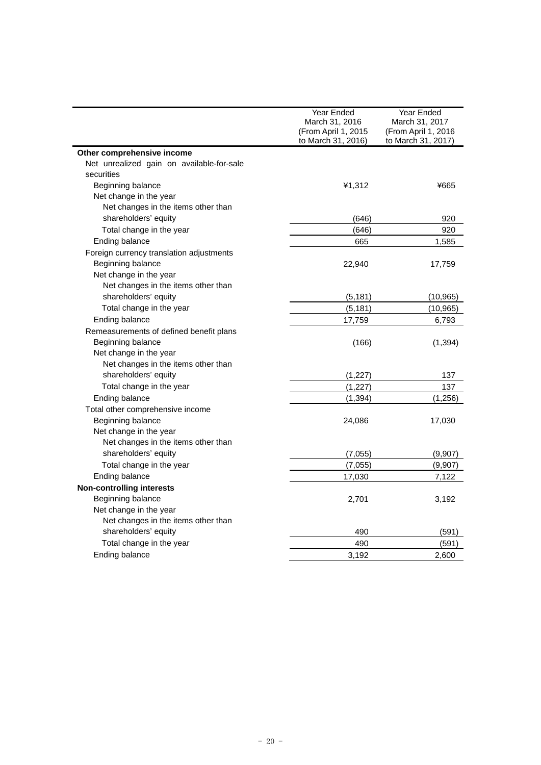|                                           | Year Ended         | Year Ended          |  |
|-------------------------------------------|--------------------|---------------------|--|
| March 31, 2016<br>(From April 1, 2015     |                    | March 31, 2017      |  |
|                                           |                    | (From April 1, 2016 |  |
|                                           | to March 31, 2016) | to March 31, 2017)  |  |
| Other comprehensive income                |                    |                     |  |
| Net unrealized gain on available-for-sale |                    |                     |  |
| securities                                |                    |                     |  |
| Beginning balance                         | ¥1,312             | ¥665                |  |
| Net change in the year                    |                    |                     |  |
| Net changes in the items other than       |                    |                     |  |
| shareholders' equity                      | (646)              | 920                 |  |
| Total change in the year                  | (646)              | 920                 |  |
| Ending balance                            | 665                | 1,585               |  |
| Foreign currency translation adjustments  |                    |                     |  |
| Beginning balance                         | 22,940             | 17,759              |  |
| Net change in the year                    |                    |                     |  |
| Net changes in the items other than       |                    |                     |  |
| shareholders' equity                      | (5, 181)           | (10, 965)           |  |
| Total change in the year                  | (5, 181)           | (10, 965)           |  |
| Ending balance                            | 17,759             | 6,793               |  |
| Remeasurements of defined benefit plans   |                    |                     |  |
| Beginning balance                         | (166)              | (1, 394)            |  |
| Net change in the year                    |                    |                     |  |
| Net changes in the items other than       |                    |                     |  |
| shareholders' equity                      | (1, 227)           | 137                 |  |
| Total change in the year                  | (1, 227)           | 137                 |  |
| Ending balance                            | (1, 394)           | (1, 256)            |  |
| Total other comprehensive income          |                    |                     |  |
| Beginning balance                         | 24,086             | 17,030              |  |
| Net change in the year                    |                    |                     |  |
| Net changes in the items other than       |                    |                     |  |
| shareholders' equity                      | (7,055)            | (9,907)             |  |
| Total change in the year                  | (7,055)            | (9,907)             |  |
| Ending balance                            | 17,030             | 7,122               |  |
| <b>Non-controlling interests</b>          |                    |                     |  |
| Beginning balance                         | 2,701              | 3,192               |  |
| Net change in the year                    |                    |                     |  |
| Net changes in the items other than       |                    |                     |  |
| shareholders' equity                      | 490                | (591)               |  |
| Total change in the year                  | 490                | (591)               |  |
| Ending balance                            | 3,192              | 2,600               |  |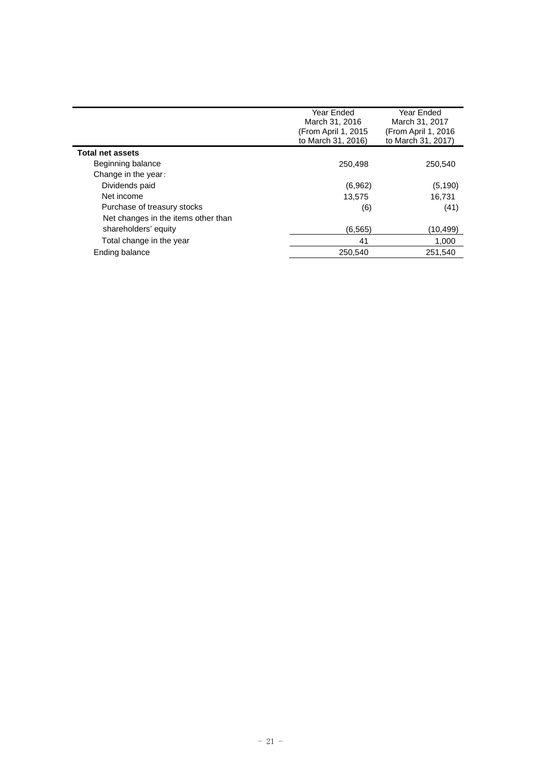|                                     | Year Ended<br>March 31, 2016<br>(From April 1, 2015<br>to March 31, 2016) | Year Ended<br>March 31, 2017<br>(From April 1, 2016<br>to March 31, 2017) |
|-------------------------------------|---------------------------------------------------------------------------|---------------------------------------------------------------------------|
| <b>Total net assets</b>             |                                                                           |                                                                           |
| Beginning balance                   | 250,498                                                                   | 250.540                                                                   |
| Change in the year:                 |                                                                           |                                                                           |
| Dividends paid                      | (6,962)                                                                   | (5, 190)                                                                  |
| Net income                          | 13,575                                                                    | 16,731                                                                    |
| Purchase of treasury stocks         | (6)                                                                       | (41)                                                                      |
| Net changes in the items other than |                                                                           |                                                                           |
| shareholders' equity                | (6, 565)                                                                  | (10,499)                                                                  |
| Total change in the year            | 41                                                                        | 1,000                                                                     |
| Ending balance                      | 250,540                                                                   | 251,540                                                                   |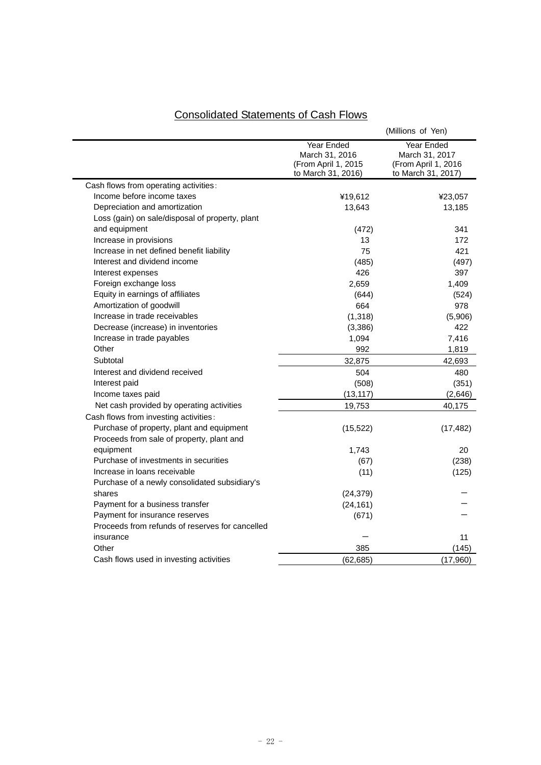|                                                 |                                                                           | (Millions of Yen)                                                         |  |
|-------------------------------------------------|---------------------------------------------------------------------------|---------------------------------------------------------------------------|--|
|                                                 | Year Ended<br>March 31, 2016<br>(From April 1, 2015<br>to March 31, 2016) | Year Ended<br>March 31, 2017<br>(From April 1, 2016<br>to March 31, 2017) |  |
| Cash flows from operating activities:           |                                                                           |                                                                           |  |
| Income before income taxes                      | ¥19,612                                                                   | ¥23,057                                                                   |  |
| Depreciation and amortization                   | 13,643                                                                    | 13,185                                                                    |  |
| Loss (gain) on sale/disposal of property, plant |                                                                           |                                                                           |  |
| and equipment                                   | (472)                                                                     | 341                                                                       |  |
| Increase in provisions                          | 13                                                                        | 172                                                                       |  |
| Increase in net defined benefit liability       | 75                                                                        | 421                                                                       |  |
| Interest and dividend income                    | (485)                                                                     | (497)                                                                     |  |
| Interest expenses                               | 426                                                                       | 397                                                                       |  |
| Foreign exchange loss                           | 2,659                                                                     | 1,409                                                                     |  |
| Equity in earnings of affiliates                | (644)                                                                     | (524)                                                                     |  |
| Amortization of goodwill                        | 664                                                                       | 978                                                                       |  |
| Increase in trade receivables                   | (1, 318)                                                                  | (5,906)                                                                   |  |
| Decrease (increase) in inventories              | (3,386)                                                                   | 422                                                                       |  |
| Increase in trade payables                      | 1,094                                                                     | 7,416                                                                     |  |
| Other                                           | 992                                                                       | 1,819                                                                     |  |
| Subtotal                                        | 32,875                                                                    | 42,693                                                                    |  |
| Interest and dividend received                  | 504                                                                       | 480                                                                       |  |
| Interest paid                                   | (508)                                                                     | (351)                                                                     |  |
| Income taxes paid                               | (13, 117)                                                                 | (2,646)                                                                   |  |
| Net cash provided by operating activities       | 19,753                                                                    | 40,175                                                                    |  |
| Cash flows from investing activities:           |                                                                           |                                                                           |  |
| Purchase of property, plant and equipment       | (15, 522)                                                                 | (17, 482)                                                                 |  |
| Proceeds from sale of property, plant and       |                                                                           |                                                                           |  |
| equipment                                       | 1,743                                                                     | 20                                                                        |  |
| Purchase of investments in securities           | (67)                                                                      | (238)                                                                     |  |
| Increase in loans receivable                    | (11)                                                                      | (125)                                                                     |  |
| Purchase of a newly consolidated subsidiary's   |                                                                           |                                                                           |  |
| shares                                          | (24, 379)                                                                 |                                                                           |  |
| Payment for a business transfer                 | (24, 161)                                                                 |                                                                           |  |
| Payment for insurance reserves                  | (671)                                                                     |                                                                           |  |
| Proceeds from refunds of reserves for cancelled |                                                                           |                                                                           |  |
| insurance                                       |                                                                           | 11                                                                        |  |
| Other                                           | 385                                                                       | (145)                                                                     |  |
| Cash flows used in investing activities         | (62, 685)                                                                 | (17,960)                                                                  |  |

# Consolidated Statements of Cash Flows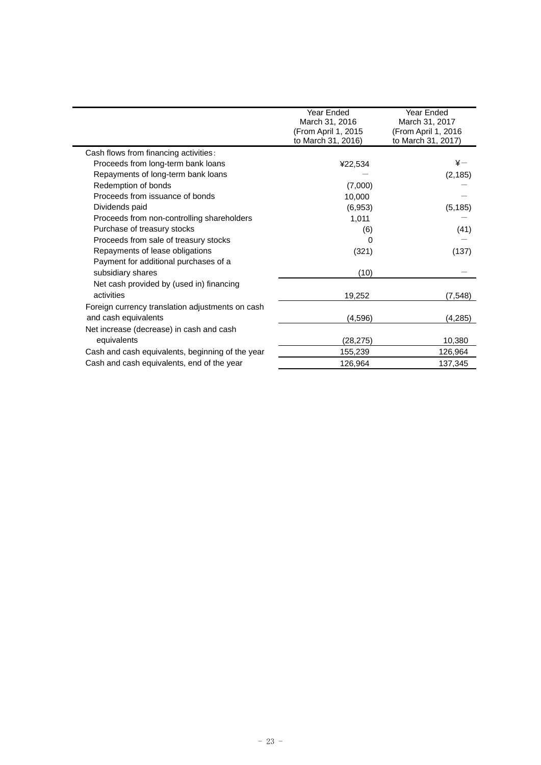|                                                  | Year Ended          | Year Ended           |
|--------------------------------------------------|---------------------|----------------------|
|                                                  | March 31, 2016      | March 31, 2017       |
|                                                  | (From April 1, 2015 | (From April 1, 2016) |
|                                                  | to March 31, 2016)  | to March 31, 2017)   |
| Cash flows from financing activities:            |                     |                      |
| Proceeds from long-term bank loans               | ¥22,534             | $\ddot{x}$           |
| Repayments of long-term bank loans               |                     | (2, 185)             |
| Redemption of bonds                              | (7,000)             |                      |
| Proceeds from issuance of bonds                  | 10,000              |                      |
| Dividends paid                                   | (6,953)             | (5, 185)             |
| Proceeds from non-controlling shareholders       | 1,011               |                      |
| Purchase of treasury stocks                      | (6)                 | (41)                 |
| Proceeds from sale of treasury stocks            | 0                   |                      |
| Repayments of lease obligations                  | (321)               | (137)                |
| Payment for additional purchases of a            |                     |                      |
| subsidiary shares                                | (10)                |                      |
| Net cash provided by (used in) financing         |                     |                      |
| activities                                       | 19,252              | (7, 548)             |
| Foreign currency translation adjustments on cash |                     |                      |
| and cash equivalents                             | (4, 596)            | (4, 285)             |
| Net increase (decrease) in cash and cash         |                     |                      |
| equivalents                                      | (28, 275)           | 10,380               |
| Cash and cash equivalents, beginning of the year | 155,239             | 126,964              |
| Cash and cash equivalents, end of the year       | 126,964             | 137,345              |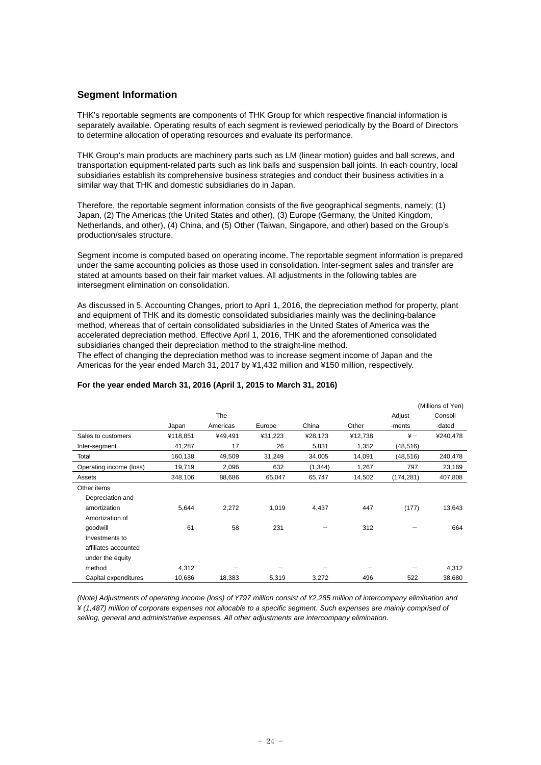# **Segment Information**

THK's reportable segments are components of THK Group for which respective financial information is separately available. Operating results of each segment is reviewed periodically by the Board of Directors to determine allocation of operating resources and evaluate its performance.

THK Group's main products are machinery parts such as LM (linear motion) guides and ball screws, and transportation equipment-related parts such as link balls and suspension ball joints. In each country, local subsidiaries establish its comprehensive business strategies and conduct their business activities in a similar way that THK and domestic subsidiaries do in Japan.

Therefore, the reportable segment information consists of the five geographical segments, namely; (1) Japan, (2) The Americas (the United States and other), (3) Europe (Germany, the United Kingdom, Netherlands, and other), (4) China, and (5) Other (Taiwan, Singapore, and other) based on the Group's production/sales structure.

Segment income is computed based on operating income. The reportable segment information is prepared under the same accounting policies as those used in consolidation. Inter-segment sales and transfer are stated at amounts based on their fair market values. All adjustments in the following tables are intersegment elimination on consolidation.

As discussed in 5. Accounting Changes, priort to April 1, 2016, the depreciation method for property, plant and equipment of THK and its domestic consolidated subsidiaries mainly was the declining-balance method, whereas that of certain consolidated subsidiaries in the United States of America was the accelerated depreciation method. Effective April 1, 2016, THK and the aforementioned consolidated subsidiaries changed their depreciation method to the straight-line method.

The effect of changing the depreciation method was to increase segment income of Japan and the Americas for the year ended March 31, 2017 by ¥1,432 million and ¥150 million, respectively.

|                         |          |            |         |          |         |               | (Millions of Yen) |
|-------------------------|----------|------------|---------|----------|---------|---------------|-------------------|
|                         |          | <b>The</b> |         |          |         | Adjust        | Consoli           |
|                         | Japan    | Americas   | Europe  | China    | Other   | -ments        | -dated            |
| Sales to customers      | ¥118,851 | ¥49,491    | ¥31,223 | ¥28,173  | ¥12,738 | $\frac{1}{2}$ | ¥240,478          |
| Inter-segment           | 41,287   | 17         | 26      | 5,831    | 1,352   | (48, 516)     |                   |
| Total                   | 160,138  | 49,509     | 31,249  | 34,005   | 14,091  | (48, 516)     | 240,478           |
| Operating income (loss) | 19,719   | 2,096      | 632     | (1, 344) | 1,267   | 797           | 23,169            |
| Assets                  | 348,106  | 88,686     | 65,047  | 65,747   | 14,502  | (174, 281)    | 407,808           |
| Other items             |          |            |         |          |         |               |                   |
| Depreciation and        |          |            |         |          |         |               |                   |
| amortization            | 5,644    | 2,272      | 1,019   | 4,437    | 447     | (177)         | 13,643            |
| Amortization of         |          |            |         |          |         |               |                   |
| qoodwill                | 61       | 58         | 231     |          | 312     |               | 664               |
| Investments to          |          |            |         |          |         |               |                   |
| affiliates accounted    |          |            |         |          |         |               |                   |
| under the equity        |          |            |         |          |         |               |                   |
| method                  | 4,312    |            |         |          |         |               | 4,312             |
| Capital expenditures    | 10,686   | 18,383     | 5,319   | 3,272    | 496     | 522           | 38,680            |

## **For the year ended March 31, 2016 (April 1, 2015 to March 31, 2016)**

*(Note) Adjustments of operating income (loss) of ¥797 million consist of ¥2,285 million of intercompany elimination and ¥ (1,487) million of corporate expenses not allocable to a specific segment. Such expenses are mainly comprised of selling, general and administrative expenses. All other adjustments are intercompany elimination.*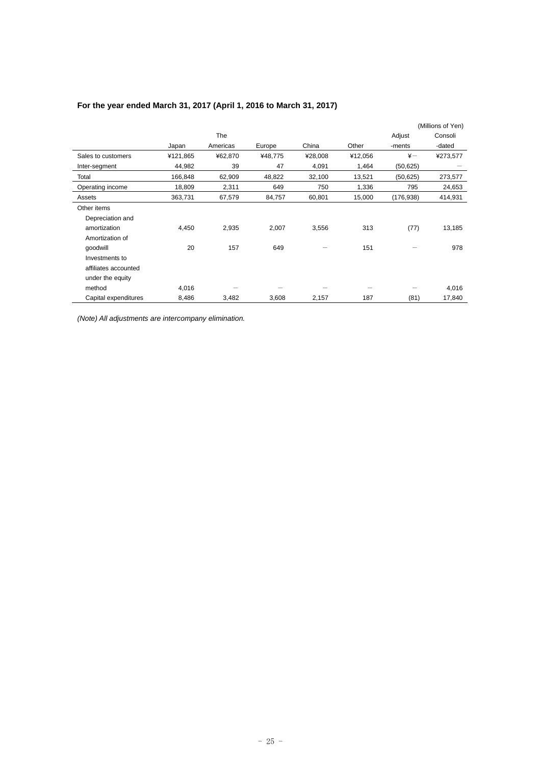|                      |          |          |         |         |         |               | (Millions of Yen) |
|----------------------|----------|----------|---------|---------|---------|---------------|-------------------|
|                      |          | The      |         |         |         | Adjust        | Consoli           |
|                      | Japan    | Americas | Europe  | China   | Other   | -ments        | -dated            |
| Sales to customers   | ¥121,865 | ¥62,870  | ¥48,775 | ¥28,008 | ¥12,056 | $\frac{1}{2}$ | ¥273,577          |
| Inter-segment        | 44,982   | 39       | 47      | 4,091   | 1,464   | (50, 625)     |                   |
| Total                | 166,848  | 62,909   | 48,822  | 32,100  | 13,521  | (50, 625)     | 273,577           |
| Operating income     | 18,809   | 2,311    | 649     | 750     | 1,336   | 795           | 24,653            |
| Assets               | 363,731  | 67,579   | 84,757  | 60,801  | 15,000  | (176, 938)    | 414,931           |
| Other items          |          |          |         |         |         |               |                   |
| Depreciation and     |          |          |         |         |         |               |                   |
| amortization         | 4,450    | 2,935    | 2,007   | 3,556   | 313     | (77)          | 13,185            |
| Amortization of      |          |          |         |         |         |               |                   |
| qoodwill             | 20       | 157      | 649     |         | 151     |               | 978               |
| Investments to       |          |          |         |         |         |               |                   |
| affiliates accounted |          |          |         |         |         |               |                   |
| under the equity     |          |          |         |         |         |               |                   |
| method               | 4,016    |          |         |         |         |               | 4,016             |
| Capital expenditures | 8,486    | 3,482    | 3,608   | 2,157   | 187     | (81)          | 17,840            |

# **For the year ended March 31, 2017 (April 1, 2016 to March 31, 2017)**

*(Note) All adjustments are intercompany elimination.*